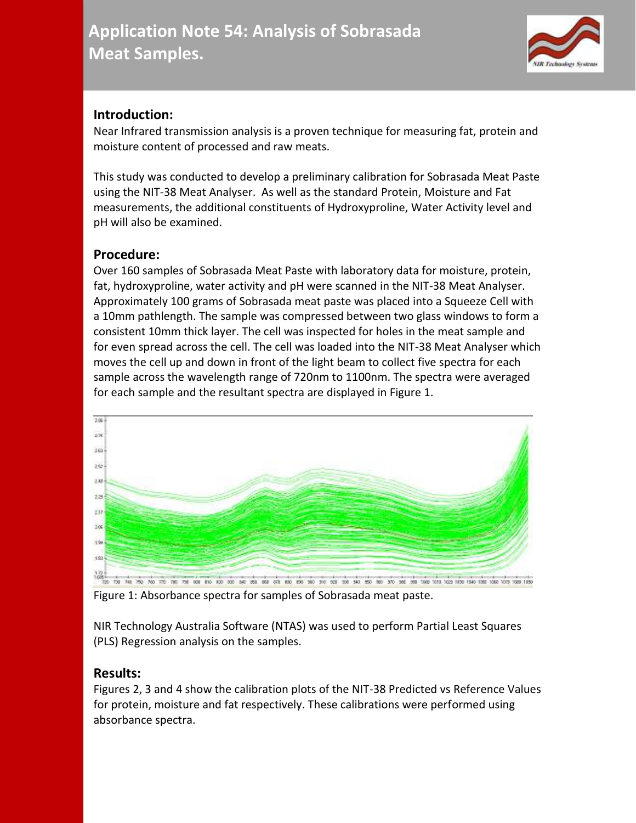

## **Introduction:**

Near Infrared transmission analysis is a proven technique for measuring fat, protein and moisture content of processed and raw meats.

This study was conducted to develop a preliminary calibration for Sobrasada Meat Paste using the NIT-38 Meat Analyser. As well as the standard Protein, Moisture and Fat measurements, the additional constituents of Hydroxyproline, Water Activity level and pH will also be examined.

## **Procedure:**

Over 160 samples of Sobrasada Meat Paste with laboratory data for moisture, protein, fat, hydroxyproline, water activity and pH were scanned in the NIT-38 Meat Analyser. Approximately 100 grams of Sobrasada meat paste was placed into a Squeeze Cell with a 10mm pathlength. The sample was compressed between two glass windows to form a consistent 10mm thick layer. The cell was inspected for holes in the meat sample and for even spread across the cell. The cell was loaded into the NIT-38 Meat Analyser which moves the cell up and down in front of the light beam to collect five spectra for each sample across the wavelength range of 720nm to 1100nm. The spectra were averaged for each sample and the resultant spectra are displayed in Figure 1.



Figure 1: Absorbance spectra for samples of Sobrasada meat paste.

NIR Technology Australia Software (NTAS) was used to perform Partial Least Squares (PLS) Regression analysis on the samples.

## **Results:**

Figures 2, 3 and 4 show the calibration plots of the NIT-38 Predicted vs Reference Values for protein, moisture and fat respectively. These calibrations were performed using absorbance spectra.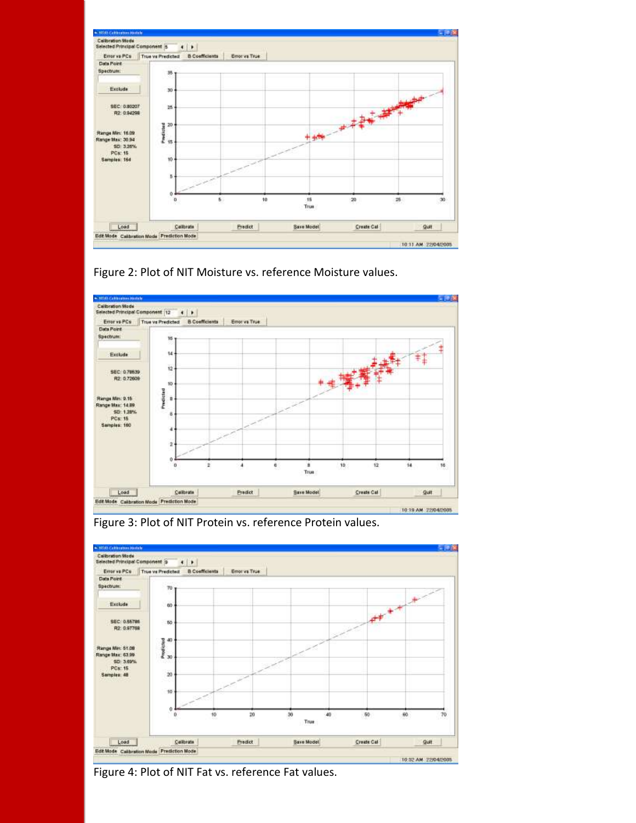





Figure 3: Plot of NIT Protein vs. reference Protein values.



Figure 4: Plot of NIT Fat vs. reference Fat values.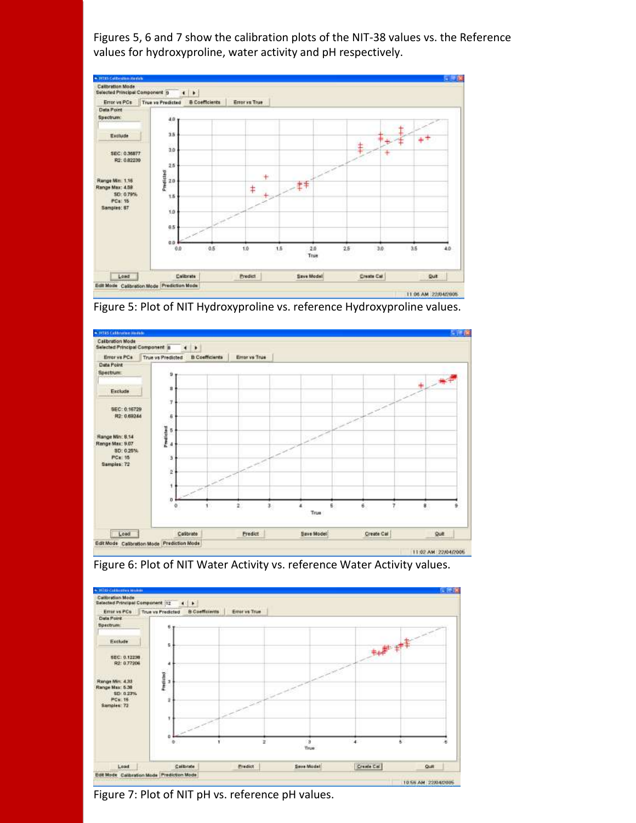Figures 5, 6 and 7 show the calibration plots of the NIT-38 values vs. the Reference values for hydroxyproline, water activity and pH respectively.



Figure 5: Plot of NIT Hydroxyproline vs. reference Hydroxyproline values.







Figure 7: Plot of NIT pH vs. reference pH values.